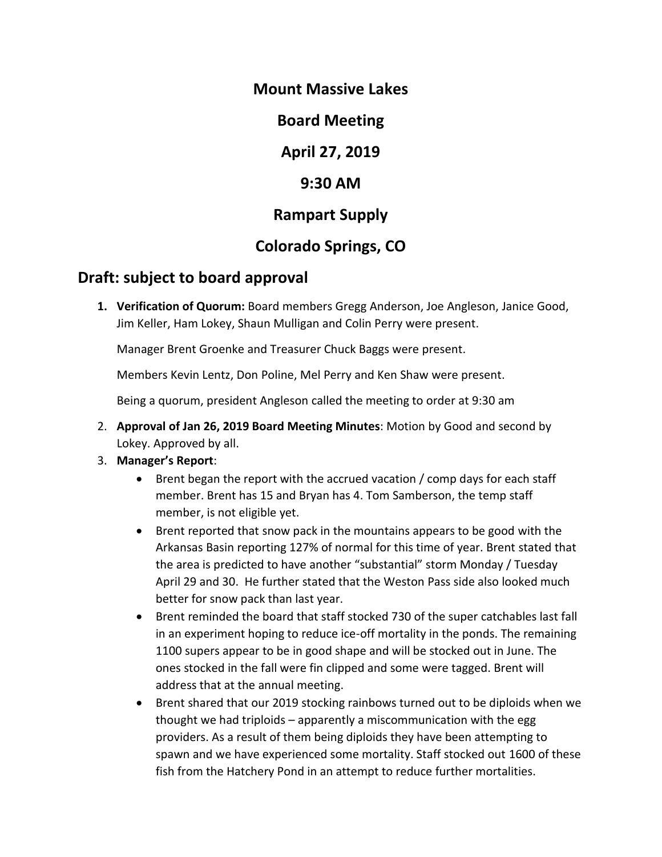### **Mount Massive Lakes**

**Board Meeting**

**April 27, 2019**

### **9:30 AM**

## **Rampart Supply**

# **Colorado Springs, CO**

## **Draft: subject to board approval**

**1. Verification of Quorum:** Board members Gregg Anderson, Joe Angleson, Janice Good, Jim Keller, Ham Lokey, Shaun Mulligan and Colin Perry were present.

Manager Brent Groenke and Treasurer Chuck Baggs were present.

Members Kevin Lentz, Don Poline, Mel Perry and Ken Shaw were present.

Being a quorum, president Angleson called the meeting to order at 9:30 am

- 2. **Approval of Jan 26, 2019 Board Meeting Minutes**: Motion by Good and second by Lokey. Approved by all.
- 3. **Manager's Report**:
	- Brent began the report with the accrued vacation / comp days for each staff member. Brent has 15 and Bryan has 4. Tom Samberson, the temp staff member, is not eligible yet.
	- Brent reported that snow pack in the mountains appears to be good with the Arkansas Basin reporting 127% of normal for this time of year. Brent stated that the area is predicted to have another "substantial" storm Monday / Tuesday April 29 and 30. He further stated that the Weston Pass side also looked much better for snow pack than last year.
	- Brent reminded the board that staff stocked 730 of the super catchables last fall in an experiment hoping to reduce ice-off mortality in the ponds. The remaining 1100 supers appear to be in good shape and will be stocked out in June. The ones stocked in the fall were fin clipped and some were tagged. Brent will address that at the annual meeting.
	- Brent shared that our 2019 stocking rainbows turned out to be diploids when we thought we had triploids – apparently a miscommunication with the egg providers. As a result of them being diploids they have been attempting to spawn and we have experienced some mortality. Staff stocked out 1600 of these fish from the Hatchery Pond in an attempt to reduce further mortalities.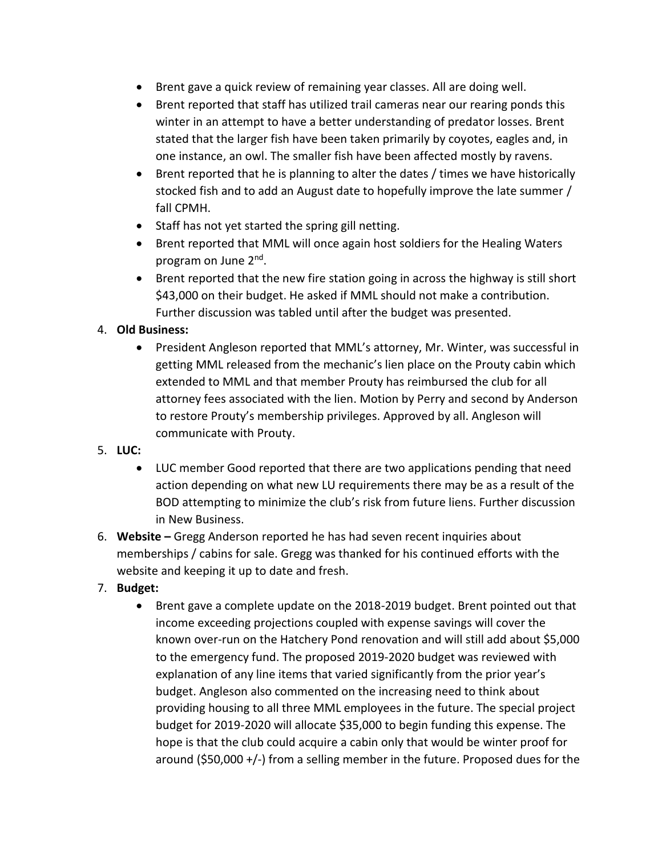- Brent gave a quick review of remaining year classes. All are doing well.
- Brent reported that staff has utilized trail cameras near our rearing ponds this winter in an attempt to have a better understanding of predator losses. Brent stated that the larger fish have been taken primarily by coyotes, eagles and, in one instance, an owl. The smaller fish have been affected mostly by ravens.
- Brent reported that he is planning to alter the dates / times we have historically stocked fish and to add an August date to hopefully improve the late summer / fall CPMH.
- Staff has not yet started the spring gill netting.
- Brent reported that MML will once again host soldiers for the Healing Waters program on June 2<sup>nd</sup>.
- Brent reported that the new fire station going in across the highway is still short \$43,000 on their budget. He asked if MML should not make a contribution. Further discussion was tabled until after the budget was presented.

#### 4. **Old Business:**

- President Angleson reported that MML's attorney, Mr. Winter, was successful in getting MML released from the mechanic's lien place on the Prouty cabin which extended to MML and that member Prouty has reimbursed the club for all attorney fees associated with the lien. Motion by Perry and second by Anderson to restore Prouty's membership privileges. Approved by all. Angleson will communicate with Prouty.
- 5. **LUC:**
	- LUC member Good reported that there are two applications pending that need action depending on what new LU requirements there may be as a result of the BOD attempting to minimize the club's risk from future liens. Further discussion in New Business.
- 6. **Website –** Gregg Anderson reported he has had seven recent inquiries about memberships / cabins for sale. Gregg was thanked for his continued efforts with the website and keeping it up to date and fresh.
- 7. **Budget:**
	- Brent gave a complete update on the 2018-2019 budget. Brent pointed out that income exceeding projections coupled with expense savings will cover the known over-run on the Hatchery Pond renovation and will still add about \$5,000 to the emergency fund. The proposed 2019-2020 budget was reviewed with explanation of any line items that varied significantly from the prior year's budget. Angleson also commented on the increasing need to think about providing housing to all three MML employees in the future. The special project budget for 2019-2020 will allocate \$35,000 to begin funding this expense. The hope is that the club could acquire a cabin only that would be winter proof for around (\$50,000 +/-) from a selling member in the future. Proposed dues for the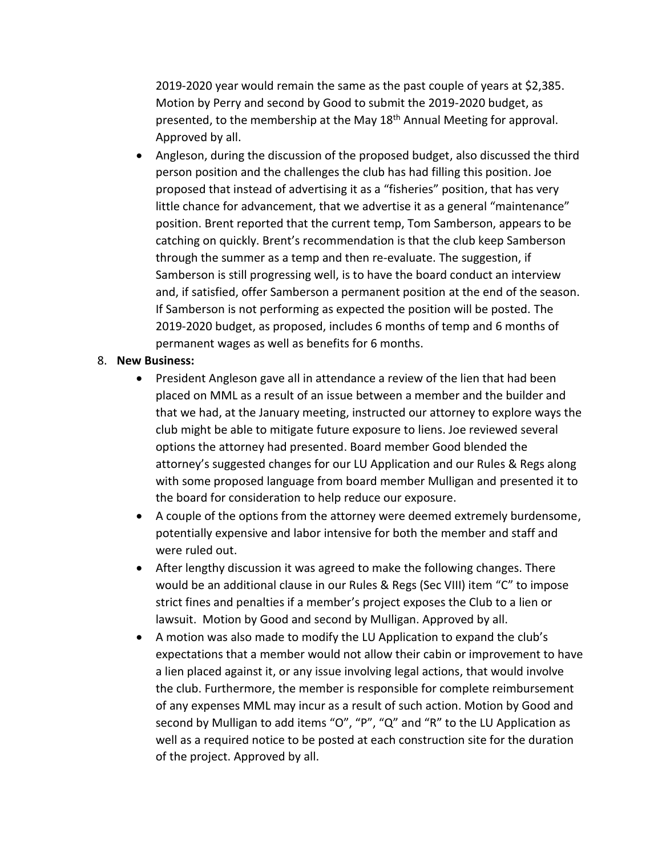2019-2020 year would remain the same as the past couple of years at \$2,385. Motion by Perry and second by Good to submit the 2019-2020 budget, as presented, to the membership at the May 18<sup>th</sup> Annual Meeting for approval. Approved by all.

• Angleson, during the discussion of the proposed budget, also discussed the third person position and the challenges the club has had filling this position. Joe proposed that instead of advertising it as a "fisheries" position, that has very little chance for advancement, that we advertise it as a general "maintenance" position. Brent reported that the current temp, Tom Samberson, appears to be catching on quickly. Brent's recommendation is that the club keep Samberson through the summer as a temp and then re-evaluate. The suggestion, if Samberson is still progressing well, is to have the board conduct an interview and, if satisfied, offer Samberson a permanent position at the end of the season. If Samberson is not performing as expected the position will be posted. The 2019-2020 budget, as proposed, includes 6 months of temp and 6 months of permanent wages as well as benefits for 6 months.

#### 8. **New Business:**

- President Angleson gave all in attendance a review of the lien that had been placed on MML as a result of an issue between a member and the builder and that we had, at the January meeting, instructed our attorney to explore ways the club might be able to mitigate future exposure to liens. Joe reviewed several options the attorney had presented. Board member Good blended the attorney's suggested changes for our LU Application and our Rules & Regs along with some proposed language from board member Mulligan and presented it to the board for consideration to help reduce our exposure.
- A couple of the options from the attorney were deemed extremely burdensome, potentially expensive and labor intensive for both the member and staff and were ruled out.
- After lengthy discussion it was agreed to make the following changes. There would be an additional clause in our Rules & Regs (Sec VIII) item "C" to impose strict fines and penalties if a member's project exposes the Club to a lien or lawsuit. Motion by Good and second by Mulligan. Approved by all.
- A motion was also made to modify the LU Application to expand the club's expectations that a member would not allow their cabin or improvement to have a lien placed against it, or any issue involving legal actions, that would involve the club. Furthermore, the member is responsible for complete reimbursement of any expenses MML may incur as a result of such action. Motion by Good and second by Mulligan to add items "O", "P", "Q" and "R" to the LU Application as well as a required notice to be posted at each construction site for the duration of the project. Approved by all.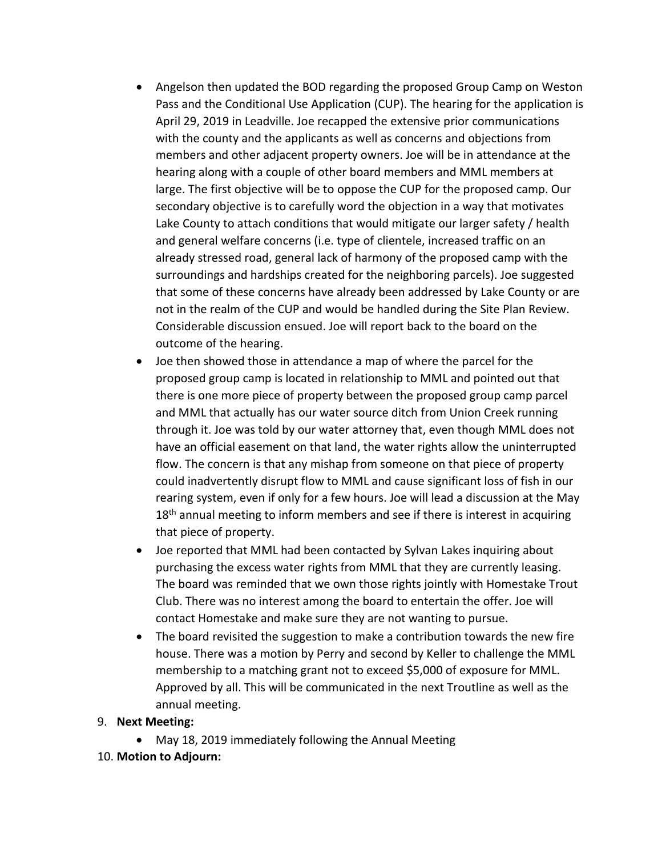- Angelson then updated the BOD regarding the proposed Group Camp on Weston Pass and the Conditional Use Application (CUP). The hearing for the application is April 29, 2019 in Leadville. Joe recapped the extensive prior communications with the county and the applicants as well as concerns and objections from members and other adjacent property owners. Joe will be in attendance at the hearing along with a couple of other board members and MML members at large. The first objective will be to oppose the CUP for the proposed camp. Our secondary objective is to carefully word the objection in a way that motivates Lake County to attach conditions that would mitigate our larger safety / health and general welfare concerns (i.e. type of clientele, increased traffic on an already stressed road, general lack of harmony of the proposed camp with the surroundings and hardships created for the neighboring parcels). Joe suggested that some of these concerns have already been addressed by Lake County or are not in the realm of the CUP and would be handled during the Site Plan Review. Considerable discussion ensued. Joe will report back to the board on the outcome of the hearing.
- Joe then showed those in attendance a map of where the parcel for the proposed group camp is located in relationship to MML and pointed out that there is one more piece of property between the proposed group camp parcel and MML that actually has our water source ditch from Union Creek running through it. Joe was told by our water attorney that, even though MML does not have an official easement on that land, the water rights allow the uninterrupted flow. The concern is that any mishap from someone on that piece of property could inadvertently disrupt flow to MML and cause significant loss of fish in our rearing system, even if only for a few hours. Joe will lead a discussion at the May  $18<sup>th</sup>$  annual meeting to inform members and see if there is interest in acquiring that piece of property.
- Joe reported that MML had been contacted by Sylvan Lakes inquiring about purchasing the excess water rights from MML that they are currently leasing. The board was reminded that we own those rights jointly with Homestake Trout Club. There was no interest among the board to entertain the offer. Joe will contact Homestake and make sure they are not wanting to pursue.
- The board revisited the suggestion to make a contribution towards the new fire house. There was a motion by Perry and second by Keller to challenge the MML membership to a matching grant not to exceed \$5,000 of exposure for MML. Approved by all. This will be communicated in the next Troutline as well as the annual meeting.

#### 9. **Next Meeting:**

- May 18, 2019 immediately following the Annual Meeting
- 10. **Motion to Adjourn:**